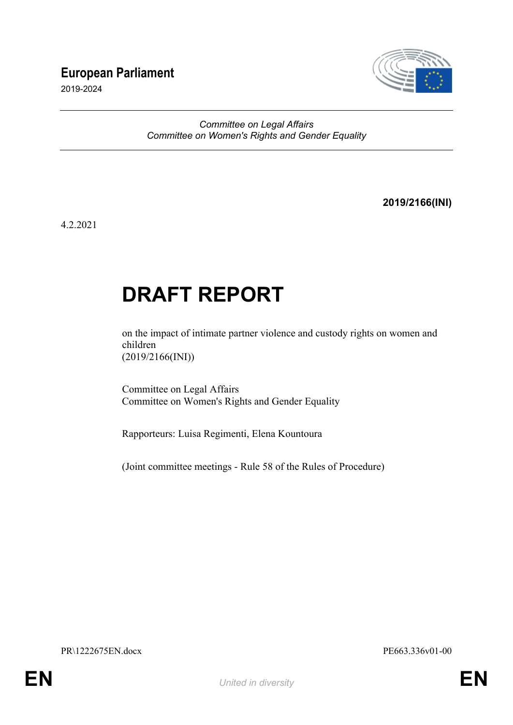## **European Parliament**

2019-2024



### *Committee on Legal Affairs Committee on Women's Rights and Gender Equality*

**2019/2166(INI)**

4.2.2021

# **DRAFT REPORT**

on the impact of intimate partner violence and custody rights on women and children (2019/2166(INI))

Committee on Legal Affairs Committee on Women's Rights and Gender Equality

Rapporteurs: Luisa Regimenti, Elena Kountoura

(Joint committee meetings - Rule 58 of the Rules of Procedure)

PR\1222675EN.docx PE663.336v01-00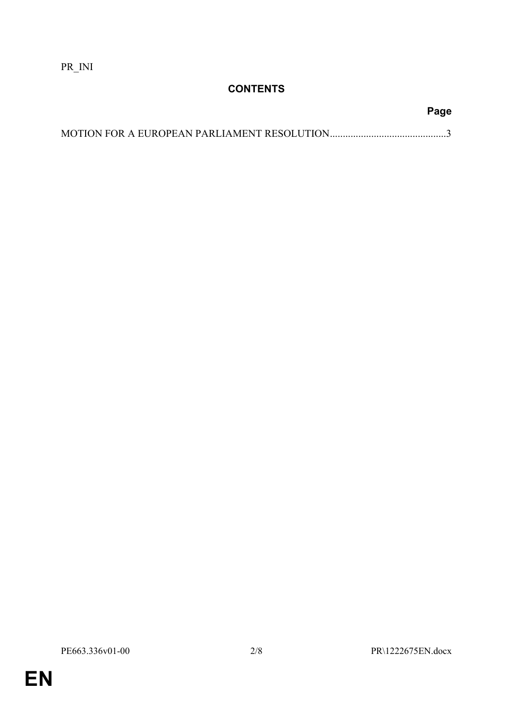PR\_INI

## **CONTENTS**

**Page**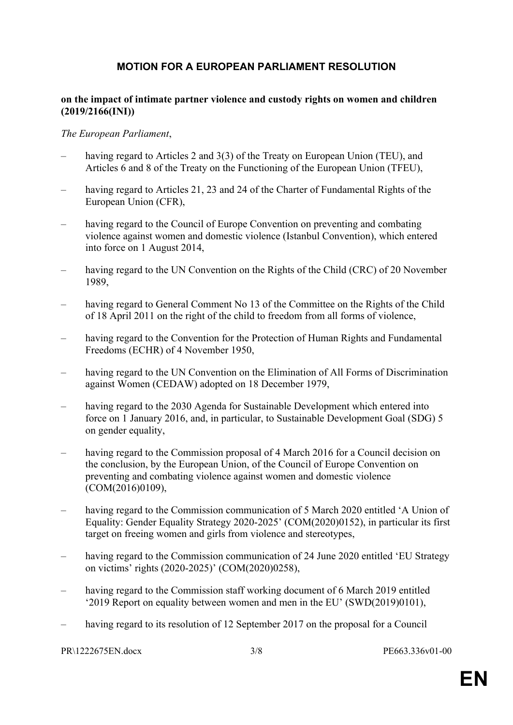## <span id="page-2-0"></span>**MOTION FOR A EUROPEAN PARLIAMENT RESOLUTION**

#### **on the impact of intimate partner violence and custody rights on women and children (2019/2166(INI))**

#### *The European Parliament*,

- having regard to Articles 2 and 3(3) of the Treaty on European Union (TEU), and Articles 6 and 8 of the Treaty on the Functioning of the European Union (TFEU),
- having regard to Articles 21, 23 and 24 of the Charter of Fundamental Rights of the European Union (CFR),
- having regard to the Council of Europe Convention on preventing and combating violence against women and domestic violence (Istanbul Convention), which entered into force on 1 August 2014,
- having regard to the UN Convention on the Rights of the Child (CRC) of 20 November 1989,
- having regard to General Comment No 13 of the Committee on the Rights of the Child of 18 April 2011 on the right of the child to freedom from all forms of violence,
- having regard to the Convention for the Protection of Human Rights and Fundamental Freedoms (ECHR) of 4 November 1950,
- having regard to the UN Convention on the Elimination of All Forms of Discrimination against Women (CEDAW) adopted on 18 December 1979,
- having regard to the 2030 Agenda for Sustainable Development which entered into force on 1 January 2016, and, in particular, to Sustainable Development Goal (SDG) 5 on gender equality,
- having regard to the Commission proposal of 4 March 2016 for a Council decision on the conclusion, by the European Union, of the Council of Europe Convention on preventing and combating violence against women and domestic violence  $(COM(2016)0109)$ ,
- having regard to the Commission communication of 5 March 2020 entitled 'A Union of Equality: Gender Equality Strategy 2020-2025' (COM(2020)0152), in particular its first target on freeing women and girls from violence and stereotypes,
- having regard to the Commission communication of 24 June 2020 entitled 'EU Strategy on victims' rights (2020-2025)' (COM(2020)0258),
- having regard to the Commission staff working document of 6 March 2019 entitled '2019 Report on equality between women and men in the EU' (SWD(2019)0101),
- having regard to its resolution of 12 September 2017 on the proposal for a Council

PR\1222675EN.docx 3/8 PE663.336v01-00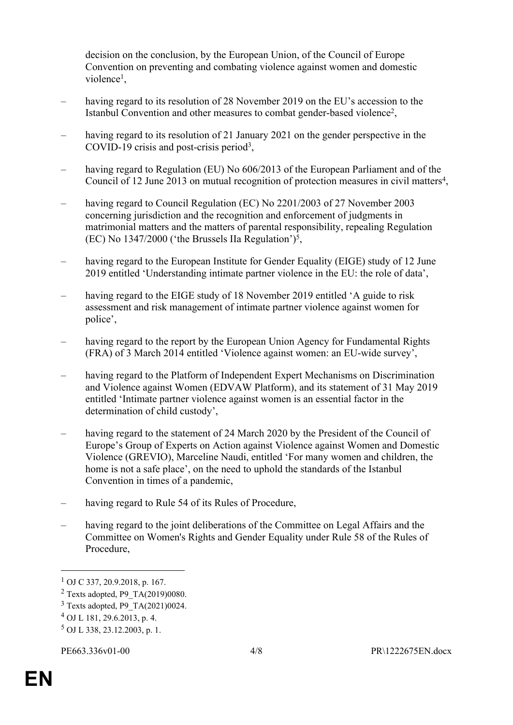decision on the conclusion, by the European Union, of the Council of Europe Convention on preventing and combating violence against women and domestic violence<sup>1</sup>,

- having regard to its resolution of 28 November 2019 on the EU's accession to the Istanbul Convention and other measures to combat gender-based violence<sup>2</sup>,
- having regard to its resolution of 21 January 2021 on the gender perspective in the COVID-19 crisis and post-crisis period<sup>3</sup>,
- having regard to Regulation (EU) No 606/2013 of the European Parliament and of the Council of 12 June 2013 on mutual recognition of protection measures in civil matters<sup>4</sup>,
- having regard to Council Regulation (EC) No 2201/2003 of 27 November 2003 concerning jurisdiction and the recognition and enforcement of judgments in matrimonial matters and the matters of parental responsibility, repealing Regulation  $(EC)$  No 1347/2000 ('the Brussels IIa Regulation')<sup>5</sup>,
- having regard to the European Institute for Gender Equality (EIGE) study of 12 June 2019 entitled 'Understanding intimate partner violence in the EU: the role of data',
- having regard to the EIGE study of 18 November 2019 entitled 'A guide to risk assessment and risk management of intimate partner violence against women for police',
- having regard to the report by the European Union Agency for Fundamental Rights (FRA) of 3 March 2014 entitled 'Violence against women: an EU-wide survey',
- having regard to the Platform of Independent Expert Mechanisms on Discrimination and Violence against Women (EDVAW Platform), and its statement of 31 May 2019 entitled 'Intimate partner violence against women is an essential factor in the determination of child custody',
- having regard to the statement of 24 March 2020 by the President of the Council of Europe's Group of Experts on Action against Violence against Women and Domestic Violence (GREVIO), Marceline Naudi, entitled 'For many women and children, the home is not a safe place', on the need to uphold the standards of the Istanbul Convention in times of a pandemic,
- having regard to Rule 54 of its Rules of Procedure,
- having regard to the joint deliberations of the Committee on Legal Affairs and the Committee on Women's Rights and Gender Equality under Rule 58 of the Rules of Procedure,

<sup>1</sup> OJ C 337, 20.9.2018, p. 167.

 $2$  Texts adopted, P9 TA(2019)0080.

<sup>3</sup> Texts adopted, P9\_TA(2021)0024.

<sup>4</sup> OJ L 181, 29.6.2013, p. 4.

<sup>5</sup> OJ L 338, 23.12.2003, p. 1.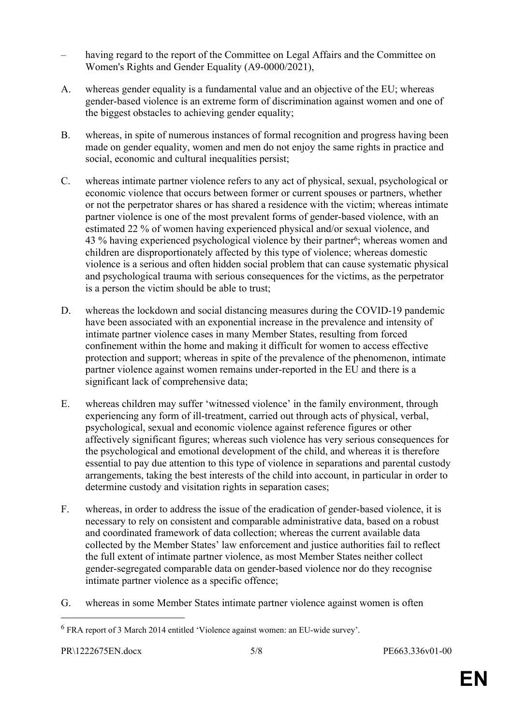- having regard to the report of the Committee on Legal Affairs and the Committee on Women's Rights and Gender Equality (A9-0000/2021),
- A. whereas gender equality is a fundamental value and an objective of the EU; whereas gender-based violence is an extreme form of discrimination against women and one of the biggest obstacles to achieving gender equality;
- B. whereas, in spite of numerous instances of formal recognition and progress having been made on gender equality, women and men do not enjoy the same rights in practice and social, economic and cultural inequalities persist;
- C. whereas intimate partner violence refers to any act of physical, sexual, psychological or economic violence that occurs between former or current spouses or partners, whether or not the perpetrator shares or has shared a residence with the victim; whereas intimate partner violence is one of the most prevalent forms of gender-based violence, with an estimated 22 % of women having experienced physical and/or sexual violence, and 43 % having experienced psychological violence by their partner<sup>6</sup>; whereas women and children are disproportionately affected by this type of violence; whereas domestic violence is a serious and often hidden social problem that can cause systematic physical and psychological trauma with serious consequences for the victims, as the perpetrator is a person the victim should be able to trust;
- D. whereas the lockdown and social distancing measures during the COVID-19 pandemic have been associated with an exponential increase in the prevalence and intensity of intimate partner violence cases in many Member States, resulting from forced confinement within the home and making it difficult for women to access effective protection and support; whereas in spite of the prevalence of the phenomenon, intimate partner violence against women remains under-reported in the EU and there is a significant lack of comprehensive data;
- E. whereas children may suffer 'witnessed violence' in the family environment, through experiencing any form of ill-treatment, carried out through acts of physical, verbal, psychological, sexual and economic violence against reference figures or other affectively significant figures; whereas such violence has very serious consequences for the psychological and emotional development of the child, and whereas it is therefore essential to pay due attention to this type of violence in separations and parental custody arrangements, taking the best interests of the child into account, in particular in order to determine custody and visitation rights in separation cases;
- F. whereas, in order to address the issue of the eradication of gender-based violence, it is necessary to rely on consistent and comparable administrative data, based on a robust and coordinated framework of data collection; whereas the current available data collected by the Member States' law enforcement and justice authorities fail to reflect the full extent of intimate partner violence, as most Member States neither collect gender-segregated comparable data on gender-based violence nor do they recognise intimate partner violence as a specific offence;
- G. whereas in some Member States intimate partner violence against women is often

<sup>&</sup>lt;sup>6</sup> FRA report of 3 March 2014 entitled 'Violence against women: an EU-wide survey'.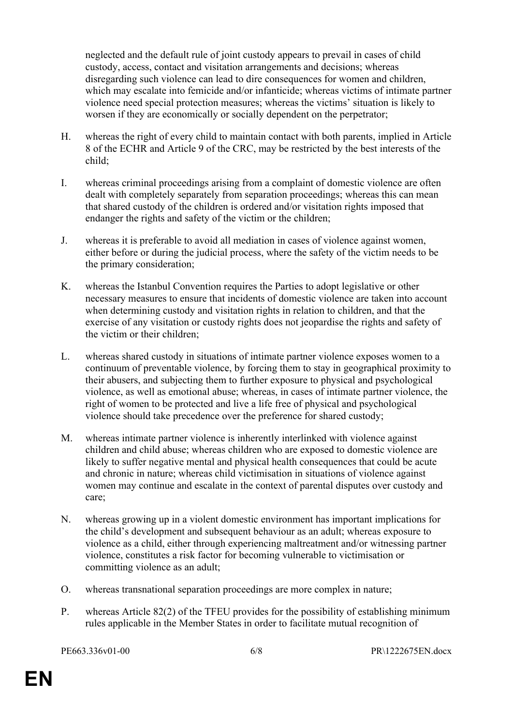neglected and the default rule of joint custody appears to prevail in cases of child custody, access, contact and visitation arrangements and decisions; whereas disregarding such violence can lead to dire consequences for women and children, which may escalate into femicide and/or infanticide; whereas victims of intimate partner violence need special protection measures; whereas the victims' situation is likely to worsen if they are economically or socially dependent on the perpetrator;

- H. whereas the right of every child to maintain contact with both parents, implied in Article 8 of the ECHR and Article 9 of the CRC, may be restricted by the best interests of the child;
- I. whereas criminal proceedings arising from a complaint of domestic violence are often dealt with completely separately from separation proceedings; whereas this can mean that shared custody of the children is ordered and/or visitation rights imposed that endanger the rights and safety of the victim or the children;
- J. whereas it is preferable to avoid all mediation in cases of violence against women, either before or during the judicial process, where the safety of the victim needs to be the primary consideration;
- K. whereas the Istanbul Convention requires the Parties to adopt legislative or other necessary measures to ensure that incidents of domestic violence are taken into account when determining custody and visitation rights in relation to children, and that the exercise of any visitation or custody rights does not jeopardise the rights and safety of the victim or their children;
- L. whereas shared custody in situations of intimate partner violence exposes women to a continuum of preventable violence, by forcing them to stay in geographical proximity to their abusers, and subjecting them to further exposure to physical and psychological violence, as well as emotional abuse; whereas, in cases of intimate partner violence, the right of women to be protected and live a life free of physical and psychological violence should take precedence over the preference for shared custody;
- M. whereas intimate partner violence is inherently interlinked with violence against children and child abuse; whereas children who are exposed to domestic violence are likely to suffer negative mental and physical health consequences that could be acute and chronic in nature; whereas child victimisation in situations of violence against women may continue and escalate in the context of parental disputes over custody and care;
- N. whereas growing up in a violent domestic environment has important implications for the child's development and subsequent behaviour as an adult; whereas exposure to violence as a child, either through experiencing maltreatment and/or witnessing partner violence, constitutes a risk factor for becoming vulnerable to victimisation or committing violence as an adult;
- O. whereas transnational separation proceedings are more complex in nature;
- P. whereas Article 82(2) of the TFEU provides for the possibility of establishing minimum rules applicable in the Member States in order to facilitate mutual recognition of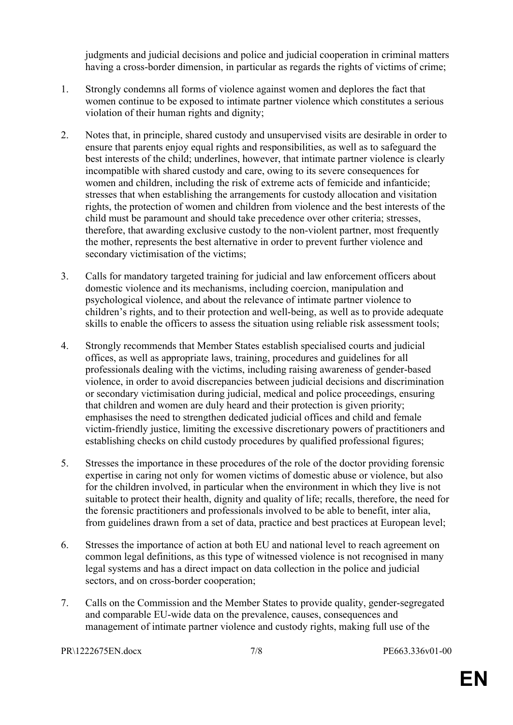judgments and judicial decisions and police and judicial cooperation in criminal matters having a cross-border dimension, in particular as regards the rights of victims of crime;

- 1. Strongly condemns all forms of violence against women and deplores the fact that women continue to be exposed to intimate partner violence which constitutes a serious violation of their human rights and dignity;
- 2. Notes that, in principle, shared custody and unsupervised visits are desirable in order to ensure that parents enjoy equal rights and responsibilities, as well as to safeguard the best interests of the child; underlines, however, that intimate partner violence is clearly incompatible with shared custody and care, owing to its severe consequences for women and children, including the risk of extreme acts of femicide and infanticide; stresses that when establishing the arrangements for custody allocation and visitation rights, the protection of women and children from violence and the best interests of the child must be paramount and should take precedence over other criteria; stresses, therefore, that awarding exclusive custody to the non-violent partner, most frequently the mother, represents the best alternative in order to prevent further violence and secondary victimisation of the victims;
- 3. Calls for mandatory targeted training for judicial and law enforcement officers about domestic violence and its mechanisms, including coercion, manipulation and psychological violence, and about the relevance of intimate partner violence to children's rights, and to their protection and well-being, as well as to provide adequate skills to enable the officers to assess the situation using reliable risk assessment tools;
- 4. Strongly recommends that Member States establish specialised courts and judicial offices, as well as appropriate laws, training, procedures and guidelines for all professionals dealing with the victims, including raising awareness of gender-based violence, in order to avoid discrepancies between judicial decisions and discrimination or secondary victimisation during judicial, medical and police proceedings, ensuring that children and women are duly heard and their protection is given priority; emphasises the need to strengthen dedicated judicial offices and child and female victim-friendly justice, limiting the excessive discretionary powers of practitioners and establishing checks on child custody procedures by qualified professional figures;
- 5. Stresses the importance in these procedures of the role of the doctor providing forensic expertise in caring not only for women victims of domestic abuse or violence, but also for the children involved, in particular when the environment in which they live is not suitable to protect their health, dignity and quality of life; recalls, therefore, the need for the forensic practitioners and professionals involved to be able to benefit, inter alia, from guidelines drawn from a set of data, practice and best practices at European level;
- 6. Stresses the importance of action at both EU and national level to reach agreement on common legal definitions, as this type of witnessed violence is not recognised in many legal systems and has a direct impact on data collection in the police and judicial sectors, and on cross-border cooperation;
- 7. Calls on the Commission and the Member States to provide quality, gender-segregated and comparable EU-wide data on the prevalence, causes, consequences and management of intimate partner violence and custody rights, making full use of the

PR\1222675EN.docx 7/8 PE663.336v01-00